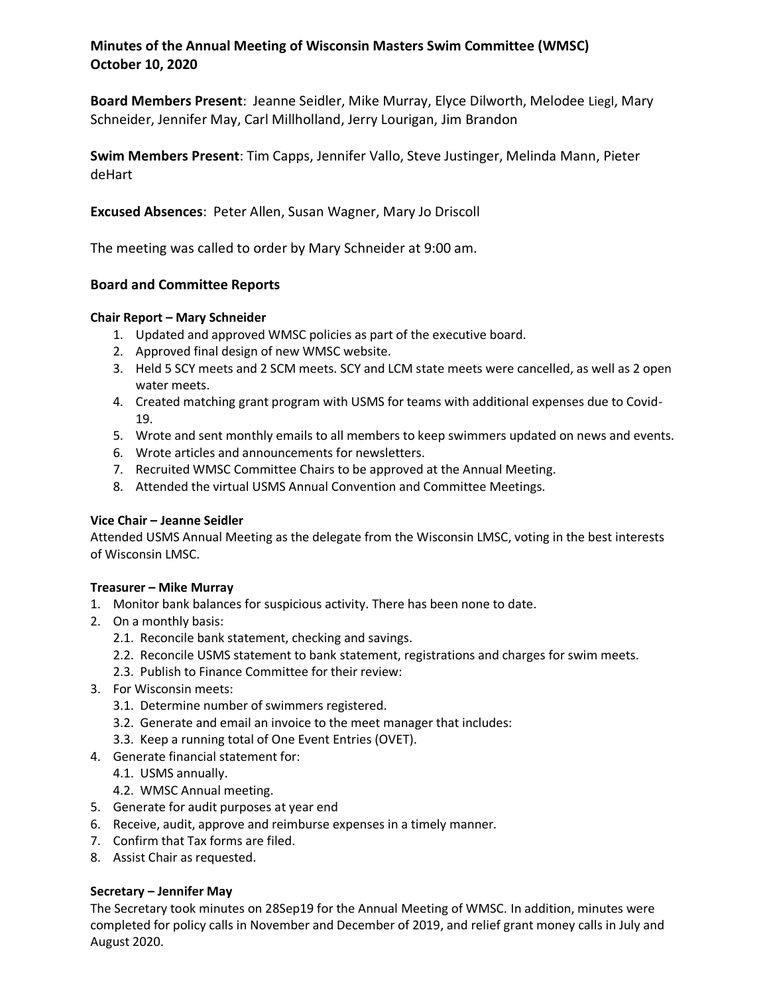# **Minutes of the Annual Meeting of Wisconsin Masters Swim Committee (WMSC) October 10, 2020**

**Board Members Present**: Jeanne Seidler, Mike Murray, Elyce Dilworth, Melodee Liegl, Mary Schneider, Jennifer May, Carl Millholland, Jerry Lourigan, Jim Brandon

**Swim Members Present**: Tim Capps, Jennifer Vallo, Steve Justinger, Melinda Mann, Pieter deHart

**Excused Absences**: Peter Allen, Susan Wagner, Mary Jo Driscoll

The meeting was called to order by Mary Schneider at 9:00 am.

## **Board and Committee Reports**

### **Chair Report – Mary Schneider**

- 1. Updated and approved WMSC policies as part of the executive board.
- 2. Approved final design of new WMSC website.
- 3. Held 5 SCY meets and 2 SCM meets. SCY and LCM state meets were cancelled, as well as 2 open water meets.
- 4. Created matching grant program with USMS for teams with additional expenses due to Covid-19.
- 5. Wrote and sent monthly emails to all members to keep swimmers updated on news and events.
- 6. Wrote articles and announcements for newsletters.
- 7. Recruited WMSC Committee Chairs to be approved at the Annual Meeting.
- 8. Attended the virtual USMS Annual Convention and Committee Meetings.

### **Vice Chair – Jeanne Seidler**

Attended USMS Annual Meeting as the delegate from the Wisconsin LMSC, voting in the best interests of Wisconsin LMSC.

### **Treasurer – Mike Murray**

- 1. Monitor bank balances for suspicious activity. There has been none to date.
- 2. On a monthly basis:
	- 2.1. Reconcile bank statement, checking and savings.
	- 2.2. Reconcile USMS statement to bank statement, registrations and charges for swim meets.
	- 2.3. Publish to Finance Committee for their review:
- 3. For Wisconsin meets:
	- 3.1. Determine number of swimmers registered.
	- 3.2. Generate and email an invoice to the meet manager that includes:
	- 3.3. Keep a running total of One Event Entries (OVET).
- 4. Generate financial statement for:
	- 4.1. USMS annually.
	- 4.2. WMSC Annual meeting.
- 5. Generate for audit purposes at year end
- 6. Receive, audit, approve and reimburse expenses in a timely manner.
- 7. Confirm that Tax forms are filed.
- 8. Assist Chair as requested.

### **Secretary – Jennifer May**

The Secretary took minutes on 28Sep19 for the Annual Meeting of WMSC. In addition, minutes were completed for policy calls in November and December of 2019, and relief grant money calls in July and August 2020.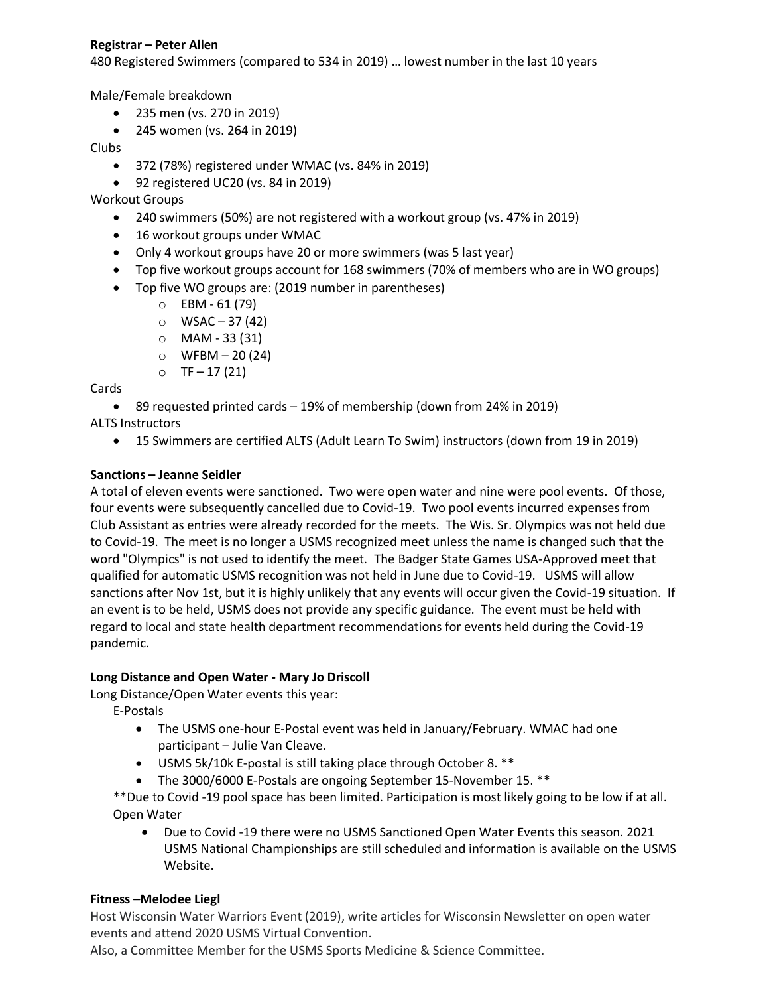## **Registrar – Peter Allen**

480 Registered Swimmers (compared to 534 in 2019) … lowest number in the last 10 years

Male/Female breakdown

- 235 men (vs. 270 in 2019)
- 245 women (vs. 264 in 2019)

Clubs

- 372 (78%) registered under WMAC (vs. 84% in 2019)
- 92 registered UC20 (vs. 84 in 2019)

Workout Groups

- 240 swimmers (50%) are not registered with a workout group (vs. 47% in 2019)
- 16 workout groups under WMAC
- Only 4 workout groups have 20 or more swimmers (was 5 last year)
- Top five workout groups account for 168 swimmers (70% of members who are in WO groups)
- Top five WO groups are: (2019 number in parentheses)
	- $O$  EBM 61 (79)
	- $\circ$  WSAC 37 (42)
	- o MAM 33 (31)
	- $O$  WFBM 20 (24)
	- $O$  TF 17 (21)

Cards

89 requested printed cards – 19% of membership (down from 24% in 2019)

ALTS Instructors

15 Swimmers are certified ALTS (Adult Learn To Swim) instructors (down from 19 in 2019)

## **Sanctions – Jeanne Seidler**

A total of eleven events were sanctioned. Two were open water and nine were pool events. Of those, four events were subsequently cancelled due to Covid-19. Two pool events incurred expenses from Club Assistant as entries were already recorded for the meets. The Wis. Sr. Olympics was not held due to Covid-19. The meet is no longer a USMS recognized meet unless the name is changed such that the word "Olympics" is not used to identify the meet. The Badger State Games USA-Approved meet that qualified for automatic USMS recognition was not held in June due to Covid-19. USMS will allow sanctions after Nov 1st, but it is highly unlikely that any events will occur given the Covid-19 situation. If an event is to be held, USMS does not provide any specific guidance. The event must be held with regard to local and state health department recommendations for events held during the Covid-19 pandemic.

### **Long Distance and Open Water - Mary Jo Driscoll**

Long Distance/Open Water events this year:

E-Postals

- The USMS one-hour E-Postal event was held in January/February. WMAC had one participant – Julie Van Cleave.
- USMS 5k/10k E-postal is still taking place through October 8. \*\*
- The 3000/6000 E-Postals are ongoing September 15-November 15. \*\*

\*\*Due to Covid -19 pool space has been limited. Participation is most likely going to be low if at all. Open Water

 Due to Covid -19 there were no USMS Sanctioned Open Water Events this season. 2021 USMS National Championships are still scheduled and information is available on the USMS Website.

## **Fitness –Melodee Liegl**

Host Wisconsin Water Warriors Event (2019), write articles for Wisconsin Newsletter on open water events and attend 2020 USMS Virtual Convention.

Also, a Committee Member for the USMS Sports Medicine & Science Committee.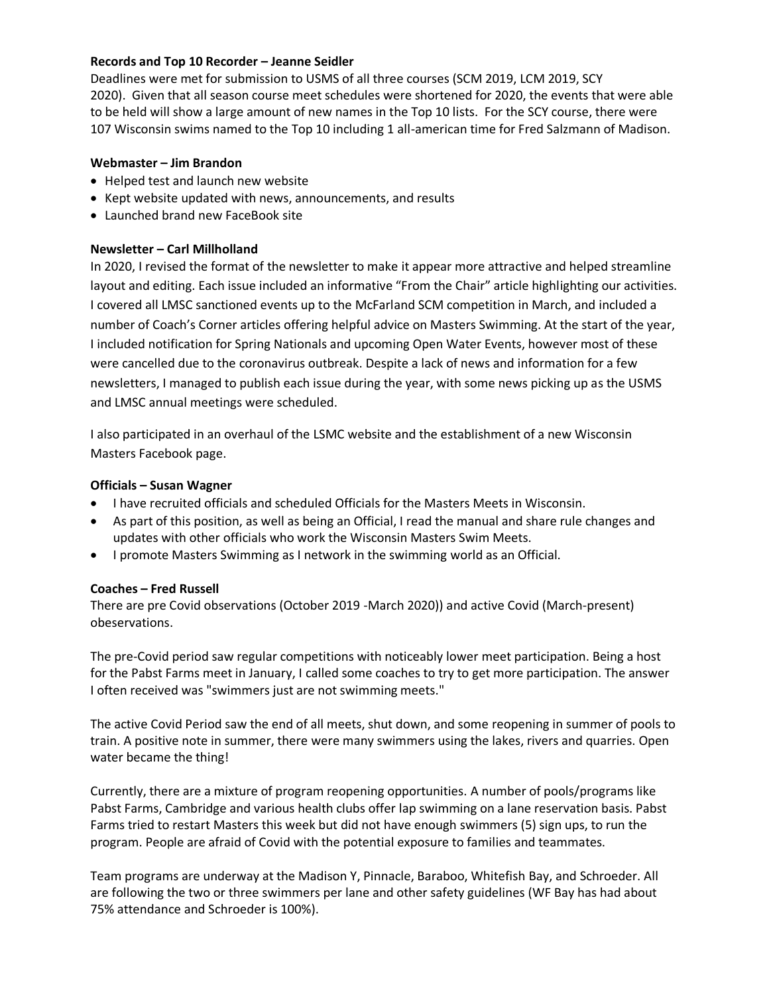### **Records and Top 10 Recorder – Jeanne Seidler**

Deadlines were met for submission to USMS of all three courses (SCM 2019, LCM 2019, SCY 2020). Given that all season course meet schedules were shortened for 2020, the events that were able to be held will show a large amount of new names in the Top 10 lists. For the SCY course, there were 107 Wisconsin swims named to the Top 10 including 1 all-american time for Fred Salzmann of Madison.

#### **Webmaster – Jim Brandon**

- Helped test and launch new website
- Kept website updated with news, announcements, and results
- Launched brand new FaceBook site

#### **Newsletter – Carl Millholland**

In 2020, I revised the format of the newsletter to make it appear more attractive and helped streamline layout and editing. Each issue included an informative "From the Chair" article highlighting our activities. I covered all LMSC sanctioned events up to the McFarland SCM competition in March, and included a number of Coach's Corner articles offering helpful advice on Masters Swimming. At the start of the year, I included notification for Spring Nationals and upcoming Open Water Events, however most of these were cancelled due to the coronavirus outbreak. Despite a lack of news and information for a few newsletters, I managed to publish each issue during the year, with some news picking up as the USMS and LMSC annual meetings were scheduled.

I also participated in an overhaul of the LSMC website and the establishment of a new Wisconsin Masters Facebook page.

#### **Officials – Susan Wagner**

- I have recruited officials and scheduled Officials for the Masters Meets in Wisconsin.
- As part of this position, as well as being an Official, I read the manual and share rule changes and updates with other officials who work the Wisconsin Masters Swim Meets.
- I promote Masters Swimming as I network in the swimming world as an Official.

### **Coaches – Fred Russell**

There are pre Covid observations (October 2019 -March 2020)) and active Covid (March-present) obeservations.

The pre-Covid period saw regular competitions with noticeably lower meet participation. Being a host for the Pabst Farms meet in January, I called some coaches to try to get more participation. The answer I often received was "swimmers just are not swimming meets."

The active Covid Period saw the end of all meets, shut down, and some reopening in summer of pools to train. A positive note in summer, there were many swimmers using the lakes, rivers and quarries. Open water became the thing!

Currently, there are a mixture of program reopening opportunities. A number of pools/programs like Pabst Farms, Cambridge and various health clubs offer lap swimming on a lane reservation basis. Pabst Farms tried to restart Masters this week but did not have enough swimmers (5) sign ups, to run the program. People are afraid of Covid with the potential exposure to families and teammates.

Team programs are underway at the Madison Y, Pinnacle, Baraboo, Whitefish Bay, and Schroeder. All are following the two or three swimmers per lane and other safety guidelines (WF Bay has had about 75% attendance and Schroeder is 100%).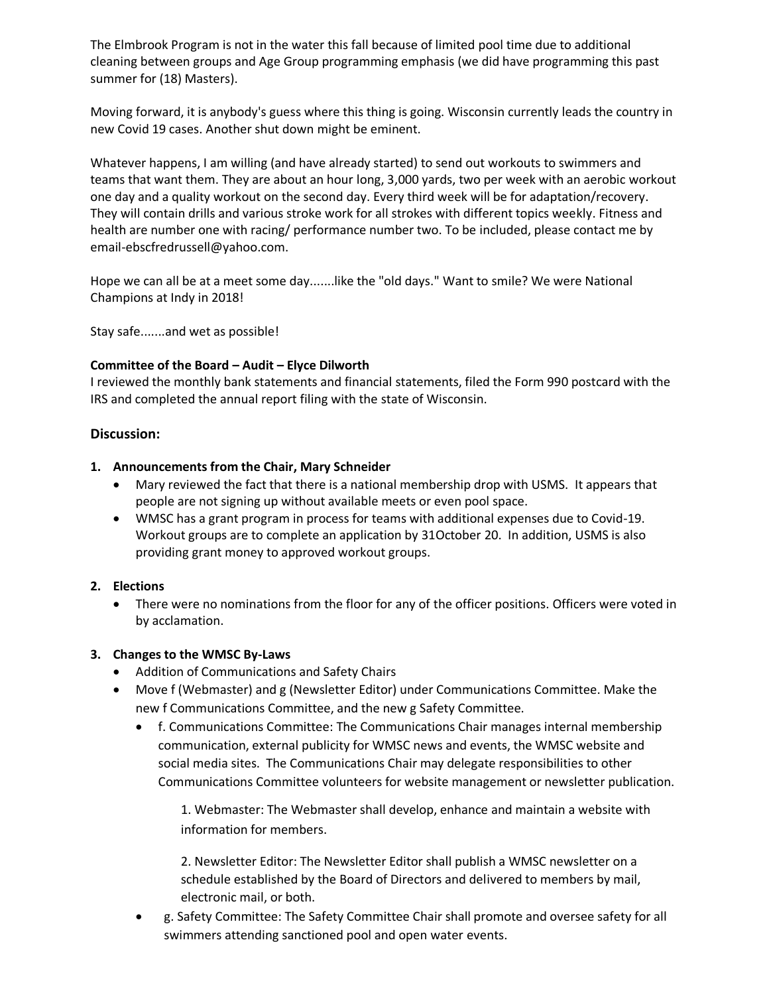The Elmbrook Program is not in the water this fall because of limited pool time due to additional cleaning between groups and Age Group programming emphasis (we did have programming this past summer for (18) Masters).

Moving forward, it is anybody's guess where this thing is going. Wisconsin currently leads the country in new Covid 19 cases. Another shut down might be eminent.

Whatever happens, I am willing (and have already started) to send out workouts to swimmers and teams that want them. They are about an hour long, 3,000 yards, two per week with an aerobic workout one day and a quality workout on the second day. Every third week will be for adaptation/recovery. They will contain drills and various stroke work for all strokes with different topics weekly. Fitness and health are number one with racing/ performance number two. To be included, please contact me by email-ebscfredrussell@yahoo.com.

Hope we can all be at a meet some day.......like the "old days." Want to smile? We were National Champions at Indy in 2018!

Stay safe.......and wet as possible!

### **Committee of the Board – Audit – Elyce Dilworth**

I reviewed the monthly bank statements and financial statements, filed the Form 990 postcard with the IRS and completed the annual report filing with the state of Wisconsin.

#### **Discussion:**

#### **1. Announcements from the Chair, Mary Schneider**

- Mary reviewed the fact that there is a national membership drop with USMS. It appears that people are not signing up without available meets or even pool space.
- WMSC has a grant program in process for teams with additional expenses due to Covid-19. Workout groups are to complete an application by 31October 20. In addition, USMS is also providing grant money to approved workout groups.

### **2. Elections**

 There were no nominations from the floor for any of the officer positions. Officers were voted in by acclamation.

### **3. Changes to the WMSC By-Laws**

- Addition of Communications and Safety Chairs
- Move f (Webmaster) and g (Newsletter Editor) under Communications Committee. Make the new f Communications Committee, and the new g Safety Committee.
	- f. Communications Committee: The Communications Chair manages internal membership communication, external publicity for WMSC news and events, the WMSC website and social media sites. The Communications Chair may delegate responsibilities to other Communications Committee volunteers for website management or newsletter publication.

1. Webmaster: The Webmaster shall develop, enhance and maintain a website with information for members.

2. Newsletter Editor: The Newsletter Editor shall publish a WMSC newsletter on a schedule established by the Board of Directors and delivered to members by mail, electronic mail, or both.

 g. Safety Committee: The Safety Committee Chair shall promote and oversee safety for all swimmers attending sanctioned pool and open water events.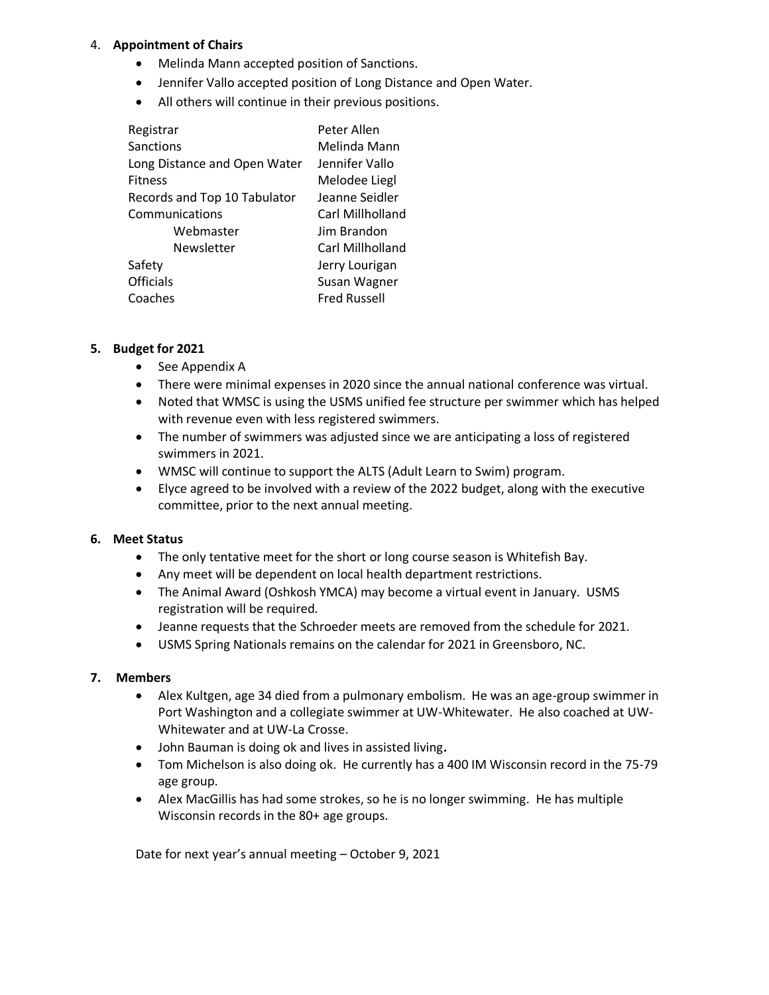## 4. **Appointment of Chairs**

- Melinda Mann accepted position of Sanctions.
- Jennifer Vallo accepted position of Long Distance and Open Water.
- All others will continue in their previous positions.

| Registrar                    | Peter Allen         |
|------------------------------|---------------------|
| Sanctions                    | Melinda Mann        |
| Long Distance and Open Water | Jennifer Vallo      |
| <b>Fitness</b>               | Melodee Liegl       |
| Records and Top 10 Tabulator | Jeanne Seidler      |
| Communications               | Carl Millholland    |
| Webmaster                    | Jim Brandon         |
| Newsletter                   | Carl Millholland    |
| Safety                       | Jerry Lourigan      |
| <b>Officials</b>             | Susan Wagner        |
| Coaches                      | <b>Fred Russell</b> |

### **5. Budget for 2021**

- See Appendix A
- There were minimal expenses in 2020 since the annual national conference was virtual.
- Noted that WMSC is using the USMS unified fee structure per swimmer which has helped with revenue even with less registered swimmers.
- The number of swimmers was adjusted since we are anticipating a loss of registered swimmers in 2021.
- WMSC will continue to support the ALTS (Adult Learn to Swim) program.
- Elyce agreed to be involved with a review of the 2022 budget, along with the executive committee, prior to the next annual meeting.

### **6. Meet Status**

- The only tentative meet for the short or long course season is Whitefish Bay.
- Any meet will be dependent on local health department restrictions.
- The Animal Award (Oshkosh YMCA) may become a virtual event in January. USMS registration will be required.
- Jeanne requests that the Schroeder meets are removed from the schedule for 2021.
- USMS Spring Nationals remains on the calendar for 2021 in Greensboro, NC.

### **7. Members**

- Alex Kultgen, age 34 died from a pulmonary embolism. He was an age-group swimmer in Port Washington and a collegiate swimmer at UW-Whitewater. He also coached at UW-Whitewater and at UW-La Crosse.
- John Bauman is doing ok and lives in assisted living**.**
- Tom Michelson is also doing ok. He currently has a 400 IM Wisconsin record in the 75-79 age group.
- Alex MacGillis has had some strokes, so he is no longer swimming. He has multiple Wisconsin records in the 80+ age groups.

Date for next year's annual meeting – October 9, 2021